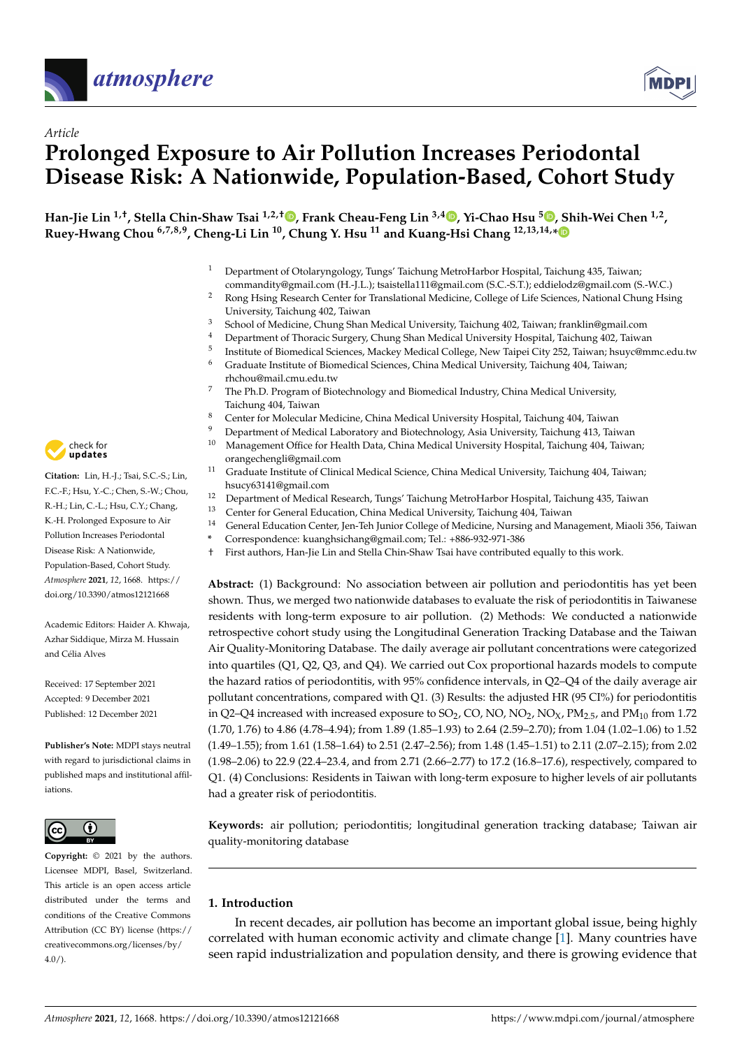



# *Article* **Prolonged Exposure to Air Pollution Increases Periodontal Disease Risk: A Nationwide, Population-Based, Cohort Study**

**Han-Jie Lin 1,†, Stella Chin-Shaw Tsai 1,2,† [,](https://orcid.org/0000-0003-2694-1207) Frank Cheau-Feng Lin 3,4 [,](https://orcid.org/0000-0001-5301-2345) Yi-Chao Hsu <sup>5</sup> [,](https://orcid.org/0000-0001-9071-475X) Shih-Wei Chen 1,2 , Ruey-Hwang Chou 6,7,8,9, Cheng-Li Lin <sup>10</sup>, Chung Y. Hsu <sup>11</sup> and Kuang-Hsi Chang 12,13,14,[\\*](https://orcid.org/0000-0002-4453-0068)**

- <sup>1</sup> Department of Otolaryngology, Tungs' Taichung MetroHarbor Hospital, Taichung 435, Taiwan; commandity@gmail.com (H.-J.L.); tsaistella111@gmail.com (S.C.-S.T.); eddielodz@gmail.com (S.-W.C.)
- <sup>2</sup> Rong Hsing Research Center for Translational Medicine, College of Life Sciences, National Chung Hsing University, Taichung 402, Taiwan
- <sup>3</sup> School of Medicine, Chung Shan Medical University, Taichung 402, Taiwan; franklin@gmail.com
- <sup>4</sup> Department of Thoracic Surgery, Chung Shan Medical University Hospital, Taichung 402, Taiwan
- 5 Institute of Biomedical Sciences, Mackey Medical College, New Taipei City 252, Taiwan; hsuyc@mmc.edu.tw
- <sup>6</sup> Graduate Institute of Biomedical Sciences, China Medical University, Taichung 404, Taiwan; rhchou@mail.cmu.edu.tw
- <sup>7</sup> The Ph.D. Program of Biotechnology and Biomedical Industry, China Medical University, Taichung 404, Taiwan
- <sup>8</sup> Center for Molecular Medicine, China Medical University Hospital, Taichung 404, Taiwan
- 
- <sup>9</sup> Department of Medical Laboratory and Biotechnology, Asia University, Taichung 413, Taiwan<br><sup>10</sup> Managament Office for Health Data, China Medical University Hospital, Taichung 404, Taiwan <sup>10</sup> Management Office for Health Data, China Medical University Hospital, Taichung 404, Taiwan; orangechengli@gmail.com
- <sup>11</sup> Graduate Institute of Clinical Medical Science, China Medical University, Taichung 404, Taiwan; hsucy63141@gmail.com
- 12 Department of Medical Research, Tungs' Taichung MetroHarbor Hospital, Taichung 435, Taiwan
- <sup>13</sup> Center for General Education, China Medical University, Taichung 404, Taiwan<br><sup>14</sup> Ceneral Education Center Jan Tab Junier Cellege of Medicine, Nursing and Man
- <sup>14</sup> General Education Center, Jen-Teh Junior College of Medicine, Nursing and Management, Miaoli 356, Taiwan<br>\* Correspondence: kuangksishang@gmail.com: Tel : 1886-932-971-386
	- **\*** Correspondence: kuanghsichang@gmail.com; Tel.: +886-932-971-386
- † First authors, Han-Jie Lin and Stella Chin-Shaw Tsai have contributed equally to this work.

**Abstract:** (1) Background: No association between air pollution and periodontitis has yet been shown. Thus, we merged two nationwide databases to evaluate the risk of periodontitis in Taiwanese residents with long-term exposure to air pollution. (2) Methods: We conducted a nationwide retrospective cohort study using the Longitudinal Generation Tracking Database and the Taiwan Air Quality-Monitoring Database. The daily average air pollutant concentrations were categorized into quartiles (Q1, Q2, Q3, and Q4). We carried out Cox proportional hazards models to compute the hazard ratios of periodontitis, with 95% confidence intervals, in Q2–Q4 of the daily average air pollutant concentrations, compared with Q1. (3) Results: the adjusted HR (95 CI%) for periodontitis in Q2–Q4 increased with increased exposure to SO<sub>2</sub>, CO, NO, NO<sub>2</sub>, NO<sub>X</sub>, PM<sub>2.5</sub>, and PM<sub>10</sub> from 1.72 (1.70, 1.76) to 4.86 (4.78–4.94); from 1.89 (1.85–1.93) to 2.64 (2.59–2.70); from 1.04 (1.02–1.06) to 1.52 (1.49–1.55); from 1.61 (1.58–1.64) to 2.51 (2.47–2.56); from 1.48 (1.45–1.51) to 2.11 (2.07–2.15); from 2.02 (1.98–2.06) to 22.9 (22.4–23.4, and from 2.71 (2.66–2.77) to 17.2 (16.8–17.6), respectively, compared to Q1. (4) Conclusions: Residents in Taiwan with long-term exposure to higher levels of air pollutants had a greater risk of periodontitis.

**Keywords:** air pollution; periodontitis; longitudinal generation tracking database; Taiwan air quality-monitoring database

# **1. Introduction**

In recent decades, air pollution has become an important global issue, being highly correlated with human economic activity and climate change [\[1\]](#page-10-0). Many countries have seen rapid industrialization and population density, and there is growing evidence that



**Citation:** Lin, H.-J.; Tsai, S.C.-S.; Lin, F.C.-F.; Hsu, Y.-C.; Chen, S.-W.; Chou, R.-H.; Lin, C.-L.; Hsu, C.Y.; Chang, K.-H. Prolonged Exposure to Air Pollution Increases Periodontal Disease Risk: A Nationwide, Population-Based, Cohort Study. *Atmosphere* **2021**, *12*, 1668. [https://](https://doi.org/10.3390/atmos12121668) [doi.org/10.3390/atmos12121668](https://doi.org/10.3390/atmos12121668)

Academic Editors: Haider A. Khwaja, Azhar Siddique, Mirza M. Hussain and Célia Alves

Received: 17 September 2021 Accepted: 9 December 2021 Published: 12 December 2021

**Publisher's Note:** MDPI stays neutral with regard to jurisdictional claims in published maps and institutional affiliations.



**Copyright:** © 2021 by the authors. Licensee MDPI, Basel, Switzerland. This article is an open access article distributed under the terms and conditions of the Creative Commons Attribution (CC BY) license (https:/[/](https://creativecommons.org/licenses/by/4.0/) [creativecommons.org/licenses/by/](https://creativecommons.org/licenses/by/4.0/) 4.0/).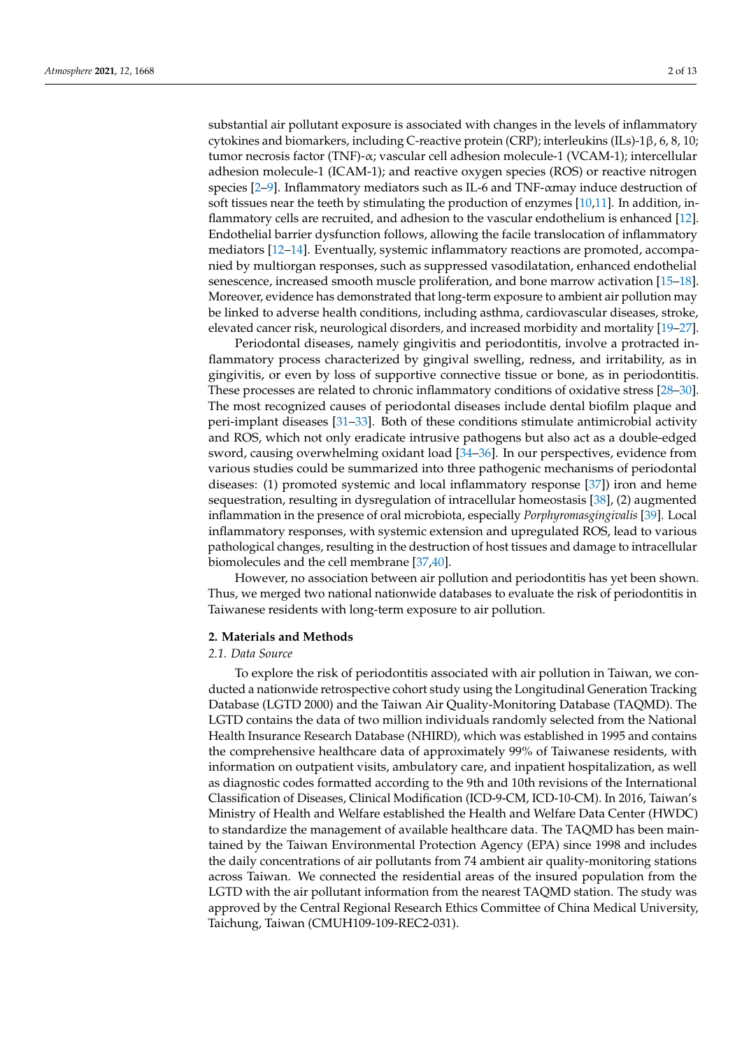substantial air pollutant exposure is associated with changes in the levels of inflammatory cytokines and biomarkers, including C-reactive protein (CRP); interleukins (ILs)-1β, 6, 8, 10; tumor necrosis factor (TNF)-α; vascular cell adhesion molecule-1 (VCAM-1); intercellular adhesion molecule-1 (ICAM-1); and reactive oxygen species (ROS) or reactive nitrogen species [\[2](#page-10-1)[–9\]](#page-10-2). Inflammatory mediators such as IL-6 and TNF-αmay induce destruction of soft tissues near the teeth by stimulating the production of enzymes [\[10](#page-10-3)[,11\]](#page-10-4). In addition, inflammatory cells are recruited, and adhesion to the vascular endothelium is enhanced [\[12\]](#page-10-5). Endothelial barrier dysfunction follows, allowing the facile translocation of inflammatory mediators [\[12](#page-10-5)[–14\]](#page-10-6). Eventually, systemic inflammatory reactions are promoted, accompanied by multiorgan responses, such as suppressed vasodilatation, enhanced endothelial senescence, increased smooth muscle proliferation, and bone marrow activation [\[15](#page-10-7)[–18\]](#page-10-8). Moreover, evidence has demonstrated that long-term exposure to ambient air pollution may be linked to adverse health conditions, including asthma, cardiovascular diseases, stroke, elevated cancer risk, neurological disorders, and increased morbidity and mortality [\[19](#page-10-9)[–27\]](#page-11-0).

Periodontal diseases, namely gingivitis and periodontitis, involve a protracted inflammatory process characterized by gingival swelling, redness, and irritability, as in gingivitis, or even by loss of supportive connective tissue or bone, as in periodontitis. These processes are related to chronic inflammatory conditions of oxidative stress [\[28](#page-11-1)[–30\]](#page-11-2). The most recognized causes of periodontal diseases include dental biofilm plaque and peri-implant diseases [\[31](#page-11-3)[–33\]](#page-11-4). Both of these conditions stimulate antimicrobial activity and ROS, which not only eradicate intrusive pathogens but also act as a double-edged sword, causing overwhelming oxidant load [\[34](#page-11-5)[–36\]](#page-11-6). In our perspectives, evidence from various studies could be summarized into three pathogenic mechanisms of periodontal diseases: (1) promoted systemic and local inflammatory response [\[37\]](#page-11-7)) iron and heme sequestration, resulting in dysregulation of intracellular homeostasis [\[38\]](#page-11-8), (2) augmented inflammation in the presence of oral microbiota, especially *Porphyromasgingivalis* [\[39\]](#page-11-9). Local inflammatory responses, with systemic extension and upregulated ROS, lead to various pathological changes, resulting in the destruction of host tissues and damage to intracellular biomolecules and the cell membrane [\[37,](#page-11-7)[40\]](#page-11-10).

However, no association between air pollution and periodontitis has yet been shown. Thus, we merged two national nationwide databases to evaluate the risk of periodontitis in Taiwanese residents with long-term exposure to air pollution.

#### **2. Materials and Methods**

# *2.1. Data Source*

To explore the risk of periodontitis associated with air pollution in Taiwan, we conducted a nationwide retrospective cohort study using the Longitudinal Generation Tracking Database (LGTD 2000) and the Taiwan Air Quality-Monitoring Database (TAQMD). The LGTD contains the data of two million individuals randomly selected from the National Health Insurance Research Database (NHIRD), which was established in 1995 and contains the comprehensive healthcare data of approximately 99% of Taiwanese residents, with information on outpatient visits, ambulatory care, and inpatient hospitalization, as well as diagnostic codes formatted according to the 9th and 10th revisions of the International Classification of Diseases, Clinical Modification (ICD-9-CM, ICD-10-CM). In 2016, Taiwan's Ministry of Health and Welfare established the Health and Welfare Data Center (HWDC) to standardize the management of available healthcare data. The TAQMD has been maintained by the Taiwan Environmental Protection Agency (EPA) since 1998 and includes the daily concentrations of air pollutants from 74 ambient air quality-monitoring stations across Taiwan. We connected the residential areas of the insured population from the LGTD with the air pollutant information from the nearest TAQMD station. The study was approved by the Central Regional Research Ethics Committee of China Medical University, Taichung, Taiwan (CMUH109-109-REC2-031).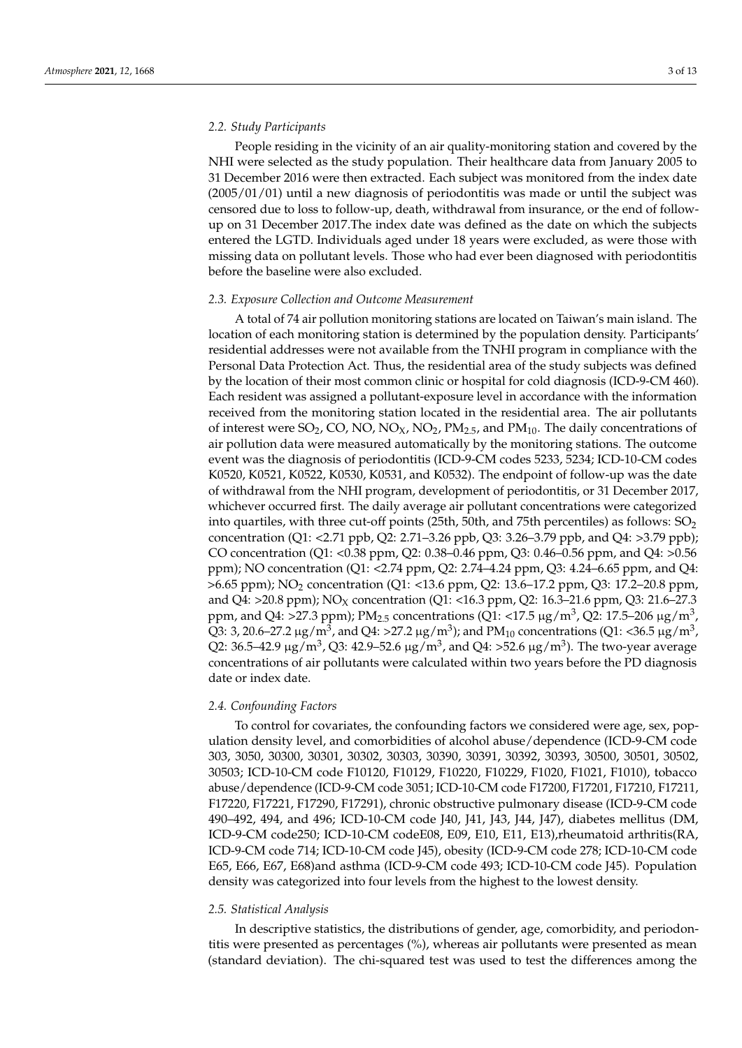## *2.2. Study Participants*

People residing in the vicinity of an air quality-monitoring station and covered by the NHI were selected as the study population. Their healthcare data from January 2005 to 31 December 2016 were then extracted. Each subject was monitored from the index date (2005/01/01) until a new diagnosis of periodontitis was made or until the subject was censored due to loss to follow-up, death, withdrawal from insurance, or the end of followup on 31 December 2017.The index date was defined as the date on which the subjects entered the LGTD. Individuals aged under 18 years were excluded, as were those with missing data on pollutant levels. Those who had ever been diagnosed with periodontitis before the baseline were also excluded.

#### *2.3. Exposure Collection and Outcome Measurement*

A total of 74 air pollution monitoring stations are located on Taiwan's main island. The location of each monitoring station is determined by the population density. Participants' residential addresses were not available from the TNHI program in compliance with the Personal Data Protection Act. Thus, the residential area of the study subjects was defined by the location of their most common clinic or hospital for cold diagnosis (ICD-9-CM 460). Each resident was assigned a pollutant-exposure level in accordance with the information received from the monitoring station located in the residential area. The air pollutants of interest were SO<sub>2</sub>, CO, NO, NO<sub>X</sub>, NO<sub>2</sub>, PM<sub>2.5</sub>, and PM<sub>10</sub>. The daily concentrations of air pollution data were measured automatically by the monitoring stations. The outcome event was the diagnosis of periodontitis (ICD-9-CM codes 5233, 5234; ICD-10-CM codes K0520, K0521, K0522, K0530, K0531, and K0532). The endpoint of follow-up was the date of withdrawal from the NHI program, development of periodontitis, or 31 December 2017, whichever occurred first. The daily average air pollutant concentrations were categorized into quartiles, with three cut-off points (25th, 50th, and 75th percentiles) as follows:  $SO_2$ concentration (Q1: <2.71 ppb, Q2: 2.71–3.26 ppb, Q3: 3.26–3.79 ppb, and Q4: >3.79 ppb); CO concentration (Q1: <0.38 ppm, Q2: 0.38–0.46 ppm, Q3: 0.46–0.56 ppm, and Q4: >0.56 ppm); NO concentration (Q1: <2.74 ppm, Q2: 2.74–4.24 ppm, Q3: 4.24–6.65 ppm, and Q4: >6.65 ppm); NO<sup>2</sup> concentration (Q1: <13.6 ppm, Q2: 13.6–17.2 ppm, Q3: 17.2–20.8 ppm, and Q4: >20.8 ppm); NO<sub>X</sub> concentration (Q1: <16.3 ppm, Q2: 16.3-21.6 ppm, Q3: 21.6-27.3 ppm, and Q4: >27.3 ppm);  $PM_{2.5}$  concentrations (Q1: <17.5  $\mu$ g/m<sup>3</sup>, Q2: 17.5–206  $\mu$ g/m<sup>3</sup>, Q3: 3, 20.6–27.2  $\mu$ g/m<sup>3</sup>, and Q4: >27.2  $\mu$ g/m<sup>3</sup>); and PM<sub>10</sub> concentrations (Q1: <36.5  $\mu$ g/m<sup>3</sup>, Q2: 36.5–42.9  $\mu$ g/m<sup>3</sup>, Q3: 42.9–52.6  $\mu$ g/m $^3$ , and Q4: >52.6  $\mu$ g/m $^3$ ). The two-year average concentrations of air pollutants were calculated within two years before the PD diagnosis date or index date.

# *2.4. Confounding Factors*

To control for covariates, the confounding factors we considered were age, sex, population density level, and comorbidities of alcohol abuse/dependence (ICD-9-CM code 303, 3050, 30300, 30301, 30302, 30303, 30390, 30391, 30392, 30393, 30500, 30501, 30502, 30503; ICD-10-CM code F10120, F10129, F10220, F10229, F1020, F1021, F1010), tobacco abuse/dependence (ICD-9-CM code 3051; ICD-10-CM code F17200, F17201, F17210, F17211, F17220, F17221, F17290, F17291), chronic obstructive pulmonary disease (ICD-9-CM code 490–492, 494, and 496; ICD-10-CM code J40, J41, J43, J44, J47), diabetes mellitus (DM, ICD-9-CM code250; ICD-10-CM codeE08, E09, E10, E11, E13),rheumatoid arthritis(RA, ICD-9-CM code 714; ICD-10-CM code J45), obesity (ICD-9-CM code 278; ICD-10-CM code E65, E66, E67, E68)and asthma (ICD-9-CM code 493; ICD-10-CM code J45). Population density was categorized into four levels from the highest to the lowest density.

#### *2.5. Statistical Analysis*

In descriptive statistics, the distributions of gender, age, comorbidity, and periodontitis were presented as percentages (%), whereas air pollutants were presented as mean (standard deviation). The chi-squared test was used to test the differences among the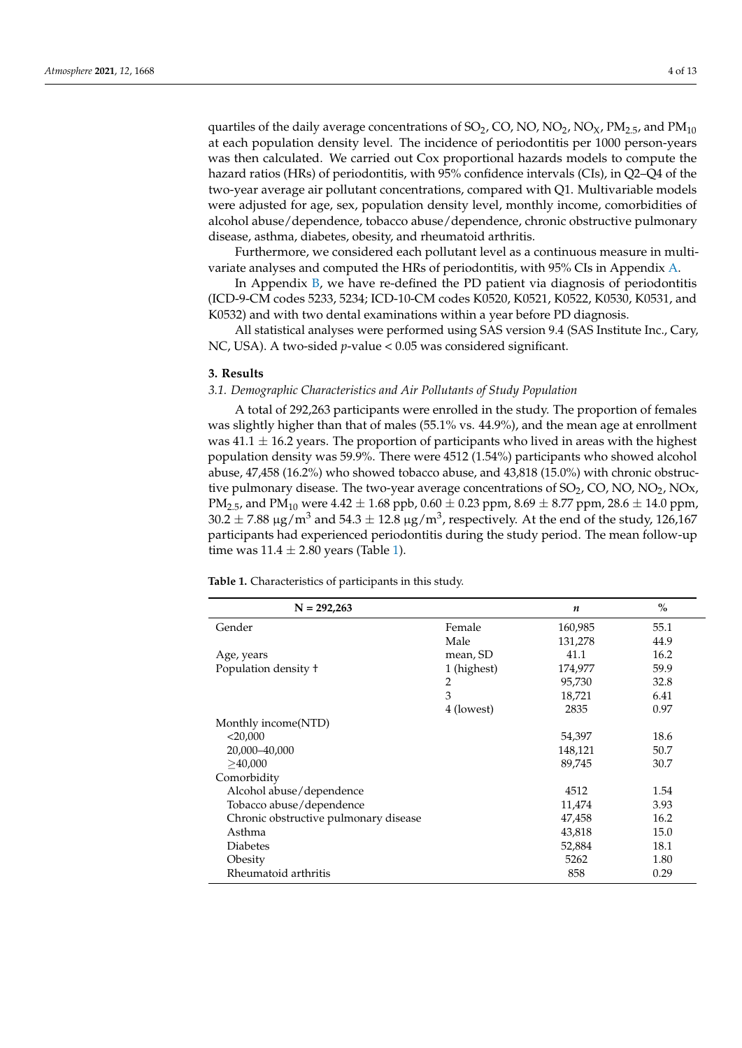quartiles of the daily average concentrations of SO<sub>2</sub>, CO, NO, NO<sub>2</sub>, NO<sub>X</sub>, PM<sub>2.5</sub>, and PM<sub>10</sub> at each population density level. The incidence of periodontitis per 1000 person-years was then calculated. We carried out Cox proportional hazards models to compute the hazard ratios (HRs) of periodontitis, with 95% confidence intervals (CIs), in Q2–Q4 of the two-year average air pollutant concentrations, compared with Q1. Multivariable models were adjusted for age, sex, population density level, monthly income, comorbidities of alcohol abuse/dependence, tobacco abuse/dependence, chronic obstructive pulmonary disease, asthma, diabetes, obesity, and rheumatoid arthritis.

Furthermore, we considered each pollutant level as a continuous measure in multivariate analyses and computed the HRs of periodontitis, with 95% CIs in Appendix [A.](#page-8-0)

In Appendix [B,](#page-9-0) we have re-defined the PD patient via diagnosis of periodontitis (ICD-9-CM codes 5233, 5234; ICD-10-CM codes K0520, K0521, K0522, K0530, K0531, and K0532) and with two dental examinations within a year before PD diagnosis.

All statistical analyses were performed using SAS version 9.4 (SAS Institute Inc., Cary, NC, USA). A two-sided *p*-value < 0.05 was considered significant.

#### **3. Results**

## *3.1. Demographic Characteristics and Air Pollutants of Study Population*

A total of 292,263 participants were enrolled in the study. The proportion of females was slightly higher than that of males (55.1% vs. 44.9%), and the mean age at enrollment was  $41.1 \pm 16.2$  years. The proportion of participants who lived in areas with the highest population density was 59.9%. There were 4512 (1.54%) participants who showed alcohol abuse, 47,458 (16.2%) who showed tobacco abuse, and 43,818 (15.0%) with chronic obstructive pulmonary disease. The two-year average concentrations of  $SO<sub>2</sub>$ , CO, NO, NO<sub>2</sub>, NO<sub>x</sub>, PM<sub>2.5</sub>, and PM<sub>10</sub> were  $4.42 \pm 1.68$  ppb,  $0.60 \pm 0.23$  ppm,  $8.69 \pm 8.77$  ppm,  $28.6 \pm 14.0$  ppm,  $30.2\pm7.88$   $\mu{\rm g}/{\rm m}^3$  and  $54.3\pm12.8$   $\mu{\rm g}/{\rm m}^3$ , respectively. At the end of the study, 126,167 participants had experienced periodontitis during the study period. The mean follow-up time was  $11.4 \pm 2.80$  years (Table [1\)](#page-4-0).

**Table 1.** Characteristics of participants in this study.

| $N = 292,263$                         |             | n       | $\frac{0}{0}$ |
|---------------------------------------|-------------|---------|---------------|
| Gender                                | Female      | 160,985 | 55.1          |
|                                       | Male        | 131,278 | 44.9          |
| Age, years                            | mean, SD    | 41.1    | 16.2          |
| Population density +                  | 1 (highest) | 174,977 | 59.9          |
|                                       | 2           | 95,730  | 32.8          |
|                                       | 3           | 18,721  | 6.41          |
|                                       | 4 (lowest)  | 2835    | 0.97          |
| Monthly income(NTD)                   |             |         |               |
| $<$ 20,000                            |             | 54,397  | 18.6          |
| 20,000-40,000                         |             | 148,121 | 50.7          |
| >40,000                               |             | 89,745  | 30.7          |
| Comorbidity                           |             |         |               |
| Alcohol abuse/dependence              |             | 4512    | 1.54          |
| Tobacco abuse/dependence              |             | 11,474  | 3.93          |
| Chronic obstructive pulmonary disease |             | 47,458  | 16.2          |
| Asthma                                |             | 43,818  | 15.0          |
| <b>Diabetes</b>                       |             | 52,884  | 18.1          |
| Obesity                               |             | 5262    | 1.80          |
| Rheumatoid arthritis                  |             | 858     | 0.29          |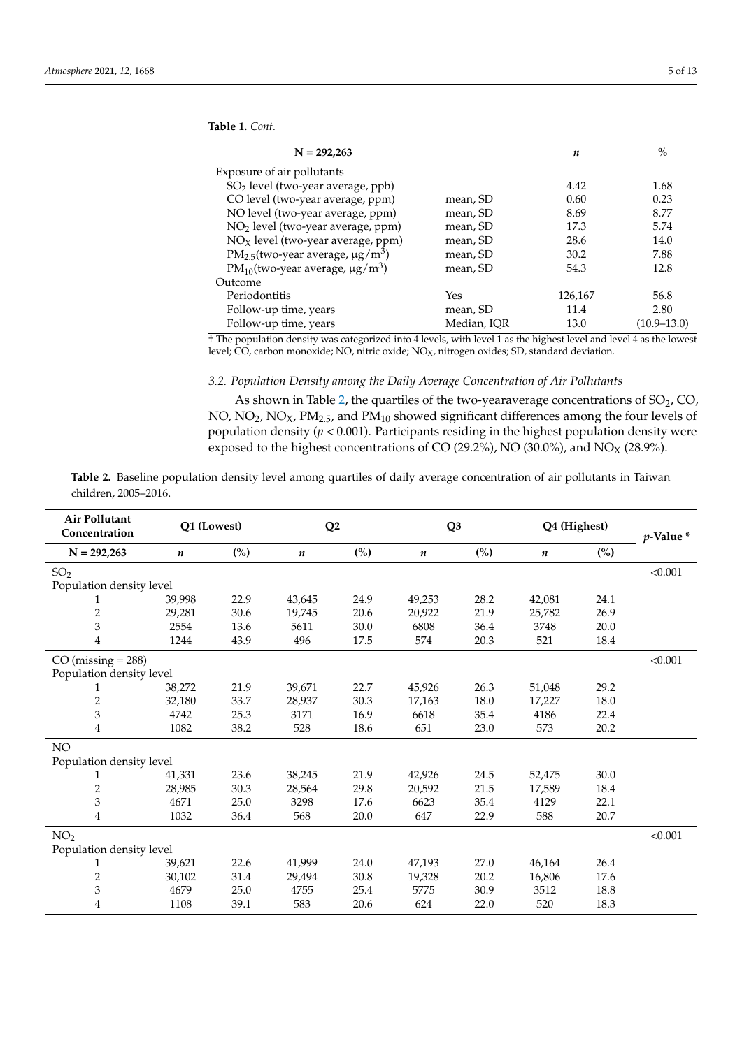<span id="page-4-0"></span>**Table 1.** *Cont.*

| $N = 292,263$                                                |             | n       | $\%$        |
|--------------------------------------------------------------|-------------|---------|-------------|
| Exposure of air pollutants                                   |             |         |             |
| SO <sub>2</sub> level (two-year average, ppb)                |             | 4.42    | 1.68        |
| CO level (two-year average, ppm)                             | mean, SD    | 0.60    | 0.23        |
| NO level (two-year average, ppm)                             | mean, SD    | 8.69    | 8.77        |
| NO <sub>2</sub> level (two-year average, ppm)                | mean, SD    | 17.3    | 5.74        |
| $NOX$ level (two-year average, ppm)                          | mean, SD    | 28.6    | 14.0        |
| $PM_{2.5}$ (two-year average, $\mu$ g/m <sup>3</sup> )       | mean, SD    | 30.2    | 7.88        |
| PM <sub>10</sub> (two-year average, $\mu$ g/m <sup>3</sup> ) | mean, SD    | 54.3    | 12.8        |
| Outcome                                                      |             |         |             |
| Periodontitis                                                | Yes         | 126,167 | 56.8        |
| Follow-up time, years                                        | mean, SD    | 11.4    | 2.80        |
| Follow-up time, years                                        | Median, IQR | 13.0    | (10.9–13.0) |

† The population density was categorized into 4 levels, with level 1 as the highest level and level 4 as the lowest level; CO, carbon monoxide; NO, nitric oxide; NO<sub>X</sub>, nitrogen oxides; SD, standard deviation.

# *3.2. Population Density among the Daily Average Concentration of Air Pollutants*

As shown in Table [2,](#page-5-0) the quartiles of the two-yearaverage concentrations of  $SO_2$ ,  $CO$ , NO, NO<sub>2</sub>, NO<sub>X</sub>, PM<sub>2.5</sub>, and PM<sub>10</sub> showed significant differences among the four levels of population density (*p* < 0.001). Participants residing in the highest population density were exposed to the highest concentrations of CO (29.2%), NO (30.0%), and NO<sub>X</sub> (28.9%).

| <b>Table 2.</b> Baseline population density level among quartiles of daily average concentration of air pollutants in Taiwan |  |  |
|------------------------------------------------------------------------------------------------------------------------------|--|--|
| children. 2005–2016.                                                                                                         |  |  |

| Air Pollutant<br>Concentration | Q1 (Lowest) |                | Q <sub>2</sub> |      | Q <sub>3</sub> |                | Q4 (Highest) |               | $p$ -Value $*$ |
|--------------------------------|-------------|----------------|----------------|------|----------------|----------------|--------------|---------------|----------------|
| $N = 292,263$                  | n           | $\binom{0}{0}$ | n              | (%)  | n              | $\binom{0}{0}$ | n            | $\frac{6}{2}$ |                |
| SO <sub>2</sub>                |             |                |                |      |                |                |              |               | < 0.001        |
| Population density level       |             |                |                |      |                |                |              |               |                |
|                                | 39,998      | 22.9           | 43,645         | 24.9 | 49,253         | 28.2           | 42,081       | 24.1          |                |
| $\overline{c}$                 | 29,281      | 30.6           | 19,745         | 20.6 | 20,922         | 21.9           | 25,782       | 26.9          |                |
| 3                              | 2554        | 13.6           | 5611           | 30.0 | 6808           | 36.4           | 3748         | 20.0          |                |
| $\overline{4}$                 | 1244        | 43.9           | 496            | 17.5 | 574            | 20.3           | 521          | 18.4          |                |
| $CO$ (missing = 288)           |             |                |                |      |                |                |              |               | < 0.001        |
| Population density level       |             |                |                |      |                |                |              |               |                |
|                                | 38,272      | 21.9           | 39,671         | 22.7 | 45,926         | 26.3           | 51,048       | 29.2          |                |
| $\overline{c}$                 | 32,180      | 33.7           | 28,937         | 30.3 | 17,163         | 18.0           | 17,227       | 18.0          |                |
| 3                              | 4742        | 25.3           | 3171           | 16.9 | 6618           | 35.4           | 4186         | 22.4          |                |
| $\overline{4}$                 | 1082        | 38.2           | 528            | 18.6 | 651            | 23.0           | 573          | 20.2          |                |
| NO                             |             |                |                |      |                |                |              |               |                |
| Population density level       |             |                |                |      |                |                |              |               |                |
|                                | 41,331      | 23.6           | 38,245         | 21.9 | 42,926         | 24.5           | 52,475       | 30.0          |                |
| $\overline{\mathbf{c}}$        | 28,985      | 30.3           | 28,564         | 29.8 | 20,592         | 21.5           | 17,589       | 18.4          |                |
| 3                              | 4671        | 25.0           | 3298           | 17.6 | 6623           | 35.4           | 4129         | 22.1          |                |
| 4                              | 1032        | 36.4           | 568            | 20.0 | 647            | 22.9           | 588          | 20.7          |                |
| NO <sub>2</sub>                |             |                |                |      |                |                |              |               | < 0.001        |
| Population density level       |             |                |                |      |                |                |              |               |                |
| 1                              | 39,621      | 22.6           | 41,999         | 24.0 | 47,193         | 27.0           | 46,164       | 26.4          |                |
| $\overline{c}$                 | 30,102      | 31.4           | 29,494         | 30.8 | 19,328         | 20.2           | 16,806       | 17.6          |                |
| 3                              | 4679        | 25.0           | 4755           | 25.4 | 5775           | 30.9           | 3512         | 18.8          |                |
| 4                              | 1108        | 39.1           | 583            | 20.6 | 624            | 22.0           | 520          | 18.3          |                |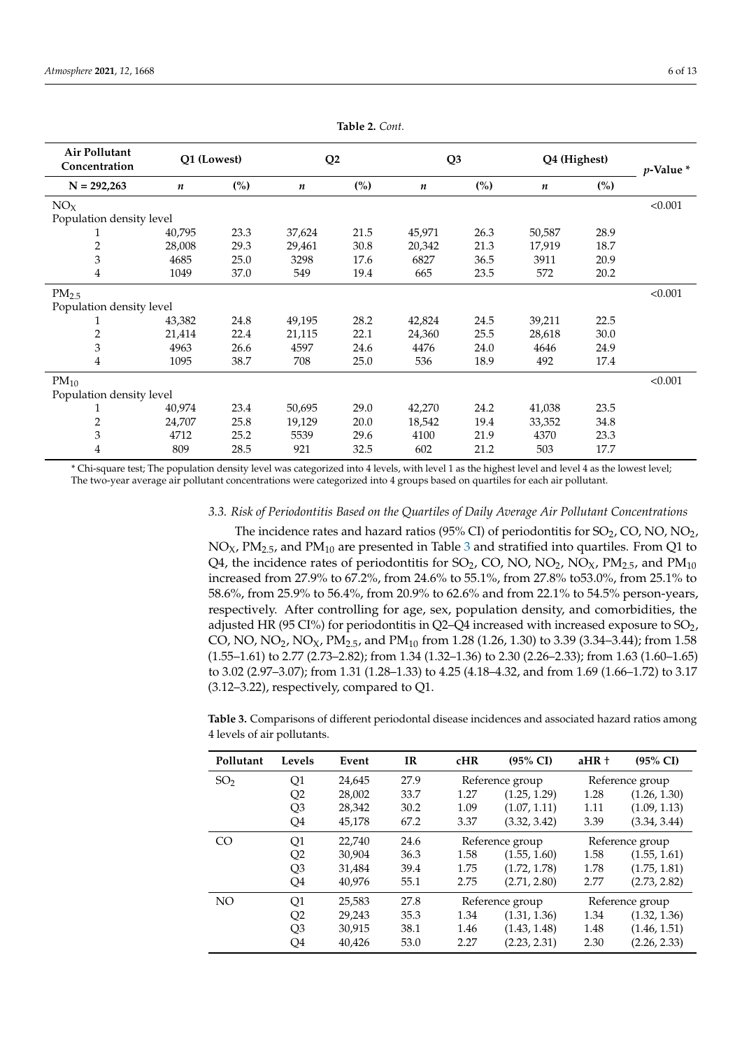<span id="page-5-0"></span>

| Air Pollutant<br>Concentration | Q1 (Lowest) |               | Q <sub>2</sub> |                | Q <sub>3</sub> |               | Q4 (Highest) |                | $p$ -Value $*$ |
|--------------------------------|-------------|---------------|----------------|----------------|----------------|---------------|--------------|----------------|----------------|
| $N = 292,263$                  | n           | $\frac{6}{2}$ | n              | $\binom{0}{0}$ | n              | $\frac{6}{2}$ | n            | $\binom{0}{0}$ |                |
| NO <sub>X</sub>                |             |               |                |                |                |               |              |                | < 0.001        |
| Population density level       |             |               |                |                |                |               |              |                |                |
| T                              | 40,795      | 23.3          | 37,624         | 21.5           | 45,971         | 26.3          | 50,587       | 28.9           |                |
| $\overline{2}$                 | 28,008      | 29.3          | 29,461         | 30.8           | 20,342         | 21.3          | 17,919       | 18.7           |                |
| 3                              | 4685        | 25.0          | 3298           | 17.6           | 6827           | 36.5          | 3911         | 20.9           |                |
| 4                              | 1049        | 37.0          | 549            | 19.4           | 665            | 23.5          | 572          | 20.2           |                |
| PM <sub>2.5</sub>              |             |               |                |                |                |               |              |                | < 0.001        |
| Population density level       |             |               |                |                |                |               |              |                |                |
|                                | 43,382      | 24.8          | 49,195         | 28.2           | 42,824         | 24.5          | 39,211       | 22.5           |                |
| 2                              | 21,414      | 22.4          | 21,115         | 22.1           | 24,360         | 25.5          | 28,618       | 30.0           |                |
| 3                              | 4963        | 26.6          | 4597           | 24.6           | 4476           | 24.0          | 4646         | 24.9           |                |
| 4                              | 1095        | 38.7          | 708            | 25.0           | 536            | 18.9          | 492          | 17.4           |                |
| $PM_{10}$                      |             |               |                |                |                |               |              |                | < 0.001        |
| Population density level       |             |               |                |                |                |               |              |                |                |
| 1                              | 40,974      | 23.4          | 50,695         | 29.0           | 42,270         | 24.2          | 41,038       | 23.5           |                |
| 2                              | 24,707      | 25.8          | 19,129         | 20.0           | 18,542         | 19.4          | 33,352       | 34.8           |                |
| 3                              | 4712        | 25.2          | 5539           | 29.6           | 4100           | 21.9          | 4370         | 23.3           |                |
| 4                              | 809         | 28.5          | 921            | 32.5           | 602            | 21.2          | 503          | 17.7           |                |

**Table 2.** *Cont.*

\* Chi-square test; The population density level was categorized into 4 levels, with level 1 as the highest level and level 4 as the lowest level; The two-year average air pollutant concentrations were categorized into 4 groups based on quartiles for each air pollutant.

## *3.3. Risk of Periodontitis Based on the Quartiles of Daily Average Air Pollutant Concentrations*

The incidence rates and hazard ratios (95% CI) of periodontitis for  $SO_2$ , CO, NO, NO<sub>2</sub>,  $NO<sub>X</sub>$ ,  $PM<sub>2.5</sub>$ , and  $PM<sub>10</sub>$  are presented in Table [3](#page-6-0) and stratified into quartiles. From Q1 to Q4, the incidence rates of periodontitis for SO<sub>2</sub>, CO, NO, NO<sub>2</sub>, NO<sub>X</sub>, PM<sub>2.5</sub>, and PM<sub>10</sub> increased from 27.9% to 67.2%, from 24.6% to 55.1%, from 27.8% to53.0%, from 25.1% to 58.6%, from 25.9% to 56.4%, from 20.9% to 62.6% and from 22.1% to 54.5% person-years, respectively. After controlling for age, sex, population density, and comorbidities, the adjusted HR (95 CI%) for periodontitis in Q2–Q4 increased with increased exposure to  $SO_2$ , CO, NO, NO<sub>2</sub>, NO<sub>X</sub>, PM<sub>2.5</sub>, and PM<sub>10</sub> from 1.28 (1.26, 1.30) to 3.39 (3.34–3.44); from 1.58 (1.55–1.61) to 2.77 (2.73–2.82); from 1.34 (1.32–1.36) to 2.30 (2.26–2.33); from 1.63 (1.60–1.65) to 3.02 (2.97–3.07); from 1.31 (1.28–1.33) to 4.25 (4.18–4.32, and from 1.69 (1.66–1.72) to 3.17  $(3.12-3.22)$ , respectively, compared to Q1.

**Table 3.** Comparisons of different periodontal disease incidences and associated hazard ratios among 4 levels of air pollutants.

| Pollutant       | Levels         | Event  | <b>IR</b> | cHR  | $(95\% \text{ CI})$ | $aHR +$ | $(95\% \text{ CI})$ |
|-----------------|----------------|--------|-----------|------|---------------------|---------|---------------------|
| SO <sub>2</sub> | Q1             | 24,645 | 27.9      |      | Reference group     |         | Reference group     |
|                 | Q2             | 28,002 | 33.7      | 1.27 | (1.25, 1.29)        | 1.28    | (1.26, 1.30)        |
|                 | Q3             | 28,342 | 30.2      | 1.09 | (1.07, 1.11)        | 1.11    | (1.09, 1.13)        |
|                 | Q4             | 45,178 | 67.2      | 3.37 | (3.32, 3.42)        | 3.39    | (3.34, 3.44)        |
| CO <sub>1</sub> | Q1             | 22,740 | 24.6      |      | Reference group     |         | Reference group     |
|                 | Q2             | 30.904 | 36.3      | 1.58 | (1.55, 1.60)        | 1.58    | (1.55, 1.61)        |
|                 | Q3             | 31,484 | 39.4      | 1.75 | (1.72, 1.78)        | 1.78    | (1.75, 1.81)        |
|                 | Q4             | 40,976 | 55.1      | 2.75 | (2.71, 2.80)        | 2.77    | (2.73, 2.82)        |
| NO <sub>1</sub> | Q1             | 25,583 | 27.8      |      | Reference group     |         | Reference group     |
|                 | Q2             | 29,243 | 35.3      | 1.34 | (1.31, 1.36)        | 1.34    | (1.32, 1.36)        |
|                 | Q <sub>3</sub> | 30,915 | 38.1      | 1.46 | (1.43, 1.48)        | 1.48    | (1.46, 1.51)        |
|                 | Q4             | 40,426 | 53.0      | 2.27 | (2.23, 2.31)        | 2.30    | (2.26, 2.33)        |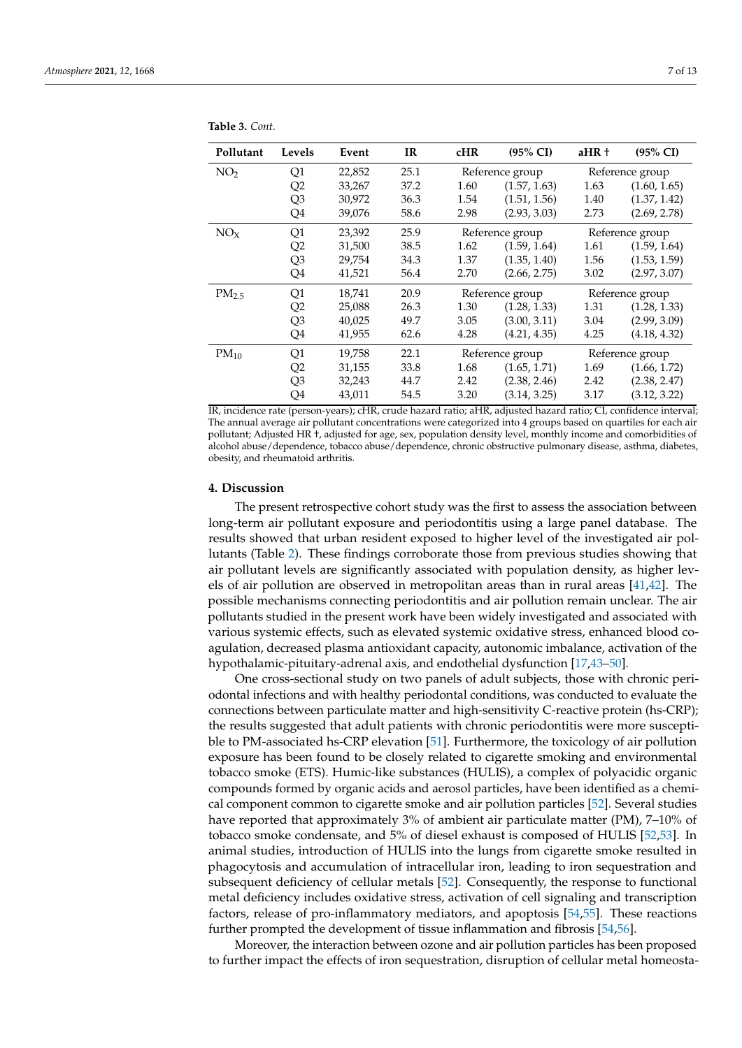| Pollutant         | Levels         | Event  | <b>IR</b> | cHR                                | $(95\% \text{ CI})$ | aHR +           | $(95\% \text{ CI})$ |
|-------------------|----------------|--------|-----------|------------------------------------|---------------------|-----------------|---------------------|
| NO <sub>2</sub>   | Q1             | 22,852 | 25.1      |                                    | Reference group     |                 | Reference group     |
|                   | Q2             | 33,267 | 37.2      | 1.60                               | (1.57, 1.63)        | 1.63            | (1.60, 1.65)        |
|                   | Q3             | 30,972 | 36.3      | 1.54                               | (1.51, 1.56)        | 1.40            | (1.37, 1.42)        |
|                   | Q4             | 39,076 | 58.6      | 2.98                               | (2.93, 3.03)        | 2.73            | (2.69, 2.78)        |
| NO <sub>x</sub>   | Q1             | 23,392 | 25.9      |                                    | Reference group     | Reference group |                     |
|                   | Q2             | 31,500 | 38.5      | 1.62                               | (1.59, 1.64)        | 1.61            | (1.59, 1.64)        |
|                   | Q3             | 29,754 | 34.3      | 1.37                               | (1.35, 1.40)        | 1.56            | (1.53, 1.59)        |
|                   | Q4             | 41,521 | 56.4      | 2.70                               | (2.66, 2.75)        | 3.02            | (2.97, 3.07)        |
| PM <sub>2.5</sub> | Q1             | 18,741 | 20.9      | Reference group<br>Reference group |                     |                 |                     |
|                   | Q <sub>2</sub> | 25,088 | 26.3      | 1.30                               | (1.28, 1.33)        | 1.31            | (1.28, 1.33)        |
|                   | Q3             | 40,025 | 49.7      | 3.05                               | (3.00, 3.11)        | 3.04            | (2.99, 3.09)        |
|                   | Q4             | 41,955 | 62.6      | 4.28                               | (4.21, 4.35)        | 4.25            | (4.18, 4.32)        |
| $PM_{10}$         | Q1             | 19,758 | 22.1      |                                    | Reference group     |                 | Reference group     |
|                   | Q2             | 31,155 | 33.8      | 1.68                               | (1.65, 1.71)        | 1.69            | (1.66, 1.72)        |
|                   | Q3             | 32,243 | 44.7      | 2.42                               | (2.38, 2.46)        | 2.42            | (2.38, 2.47)        |
|                   | Q4             | 43,011 | 54.5      | 3.20                               | (3.14, 3.25)        | 3.17            | (3.12, 3.22)        |

<span id="page-6-0"></span>**Table 3.** *Cont.*

IR, incidence rate (person-years); cHR, crude hazard ratio; aHR, adjusted hazard ratio; CI, confidence interval; The annual average air pollutant concentrations were categorized into 4 groups based on quartiles for each air pollutant; Adjusted HR †, adjusted for age, sex, population density level, monthly income and comorbidities of alcohol abuse/dependence, tobacco abuse/dependence, chronic obstructive pulmonary disease, asthma, diabetes, obesity, and rheumatoid arthritis.

### **4. Discussion**

The present retrospective cohort study was the first to assess the association between long-term air pollutant exposure and periodontitis using a large panel database. The results showed that urban resident exposed to higher level of the investigated air pollutants (Table [2\)](#page-5-0). These findings corroborate those from previous studies showing that air pollutant levels are significantly associated with population density, as higher levels of air pollution are observed in metropolitan areas than in rural areas [\[41](#page-11-11)[,42\]](#page-11-12). The possible mechanisms connecting periodontitis and air pollution remain unclear. The air pollutants studied in the present work have been widely investigated and associated with various systemic effects, such as elevated systemic oxidative stress, enhanced blood coagulation, decreased plasma antioxidant capacity, autonomic imbalance, activation of the hypothalamic-pituitary-adrenal axis, and endothelial dysfunction [\[17](#page-10-10)[,43–](#page-11-13)[50\]](#page-12-0).

One cross-sectional study on two panels of adult subjects, those with chronic periodontal infections and with healthy periodontal conditions, was conducted to evaluate the connections between particulate matter and high-sensitivity C-reactive protein (hs-CRP); the results suggested that adult patients with chronic periodontitis were more susceptible to PM-associated hs-CRP elevation [\[51\]](#page-12-1). Furthermore, the toxicology of air pollution exposure has been found to be closely related to cigarette smoking and environmental tobacco smoke (ETS). Humic-like substances (HULIS), a complex of polyacidic organic compounds formed by organic acids and aerosol particles, have been identified as a chemical component common to cigarette smoke and air pollution particles [\[52\]](#page-12-2). Several studies have reported that approximately 3% of ambient air particulate matter (PM), 7–10% of tobacco smoke condensate, and 5% of diesel exhaust is composed of HULIS [\[52,](#page-12-2)[53\]](#page-12-3). In animal studies, introduction of HULIS into the lungs from cigarette smoke resulted in phagocytosis and accumulation of intracellular iron, leading to iron sequestration and subsequent deficiency of cellular metals [\[52\]](#page-12-2). Consequently, the response to functional metal deficiency includes oxidative stress, activation of cell signaling and transcription factors, release of pro-inflammatory mediators, and apoptosis [\[54](#page-12-4)[,55\]](#page-12-5). These reactions further prompted the development of tissue inflammation and fibrosis [\[54](#page-12-4)[,56\]](#page-12-6).

Moreover, the interaction between ozone and air pollution particles has been proposed to further impact the effects of iron sequestration, disruption of cellular metal homeosta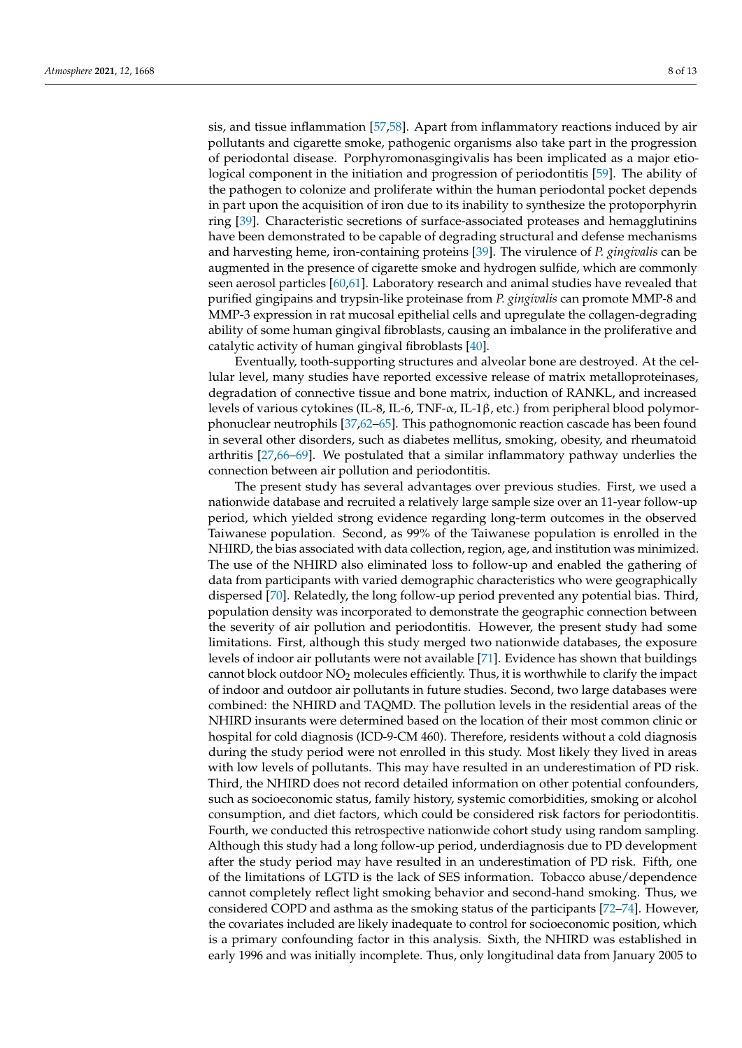sis, and tissue inflammation [\[57,](#page-12-7)[58\]](#page-12-8). Apart from inflammatory reactions induced by air pollutants and cigarette smoke, pathogenic organisms also take part in the progression of periodontal disease. Porphyromonasgingivalis has been implicated as a major etiological component in the initiation and progression of periodontitis [\[59\]](#page-12-9). The ability of the pathogen to colonize and proliferate within the human periodontal pocket depends in part upon the acquisition of iron due to its inability to synthesize the protoporphyrin ring [\[39\]](#page-11-9). Characteristic secretions of surface-associated proteases and hemagglutinins have been demonstrated to be capable of degrading structural and defense mechanisms and harvesting heme, iron-containing proteins [\[39\]](#page-11-9). The virulence of *P. gingivalis* can be augmented in the presence of cigarette smoke and hydrogen sulfide, which are commonly seen aerosol particles [\[60](#page-12-10)[,61\]](#page-12-11). Laboratory research and animal studies have revealed that purified gingipains and trypsin-like proteinase from *P. gingivalis* can promote MMP-8 and MMP-3 expression in rat mucosal epithelial cells and upregulate the collagen-degrading ability of some human gingival fibroblasts, causing an imbalance in the proliferative and catalytic activity of human gingival fibroblasts [\[40\]](#page-11-10).

Eventually, tooth-supporting structures and alveolar bone are destroyed. At the cellular level, many studies have reported excessive release of matrix metalloproteinases, degradation of connective tissue and bone matrix, induction of RANKL, and increased levels of various cytokines (IL-8, IL-6, TNF-α, IL-1β, etc.) from peripheral blood polymorphonuclear neutrophils [\[37,](#page-11-7)[62](#page-12-12)[–65\]](#page-12-13). This pathognomonic reaction cascade has been found in several other disorders, such as diabetes mellitus, smoking, obesity, and rheumatoid arthritis [\[27](#page-11-0)[,66](#page-12-14)[–69\]](#page-12-15). We postulated that a similar inflammatory pathway underlies the connection between air pollution and periodontitis.

The present study has several advantages over previous studies. First, we used a nationwide database and recruited a relatively large sample size over an 11-year follow-up period, which yielded strong evidence regarding long-term outcomes in the observed Taiwanese population. Second, as 99% of the Taiwanese population is enrolled in the NHIRD, the bias associated with data collection, region, age, and institution was minimized. The use of the NHIRD also eliminated loss to follow-up and enabled the gathering of data from participants with varied demographic characteristics who were geographically dispersed [\[70\]](#page-12-16). Relatedly, the long follow-up period prevented any potential bias. Third, population density was incorporated to demonstrate the geographic connection between the severity of air pollution and periodontitis. However, the present study had some limitations. First, although this study merged two nationwide databases, the exposure levels of indoor air pollutants were not available [\[71\]](#page-12-17). Evidence has shown that buildings cannot block outdoor  $NO<sub>2</sub>$  molecules efficiently. Thus, it is worthwhile to clarify the impact of indoor and outdoor air pollutants in future studies. Second, two large databases were combined: the NHIRD and TAQMD. The pollution levels in the residential areas of the NHIRD insurants were determined based on the location of their most common clinic or hospital for cold diagnosis (ICD-9-CM 460). Therefore, residents without a cold diagnosis during the study period were not enrolled in this study. Most likely they lived in areas with low levels of pollutants. This may have resulted in an underestimation of PD risk. Third, the NHIRD does not record detailed information on other potential confounders, such as socioeconomic status, family history, systemic comorbidities, smoking or alcohol consumption, and diet factors, which could be considered risk factors for periodontitis. Fourth, we conducted this retrospective nationwide cohort study using random sampling. Although this study had a long follow-up period, underdiagnosis due to PD development after the study period may have resulted in an underestimation of PD risk. Fifth, one of the limitations of LGTD is the lack of SES information. Tobacco abuse/dependence cannot completely reflect light smoking behavior and second-hand smoking. Thus, we considered COPD and asthma as the smoking status of the participants [\[72](#page-12-18)[–74\]](#page-12-19). However, the covariates included are likely inadequate to control for socioeconomic position, which is a primary confounding factor in this analysis. Sixth, the NHIRD was established in early 1996 and was initially incomplete. Thus, only longitudinal data from January 2005 to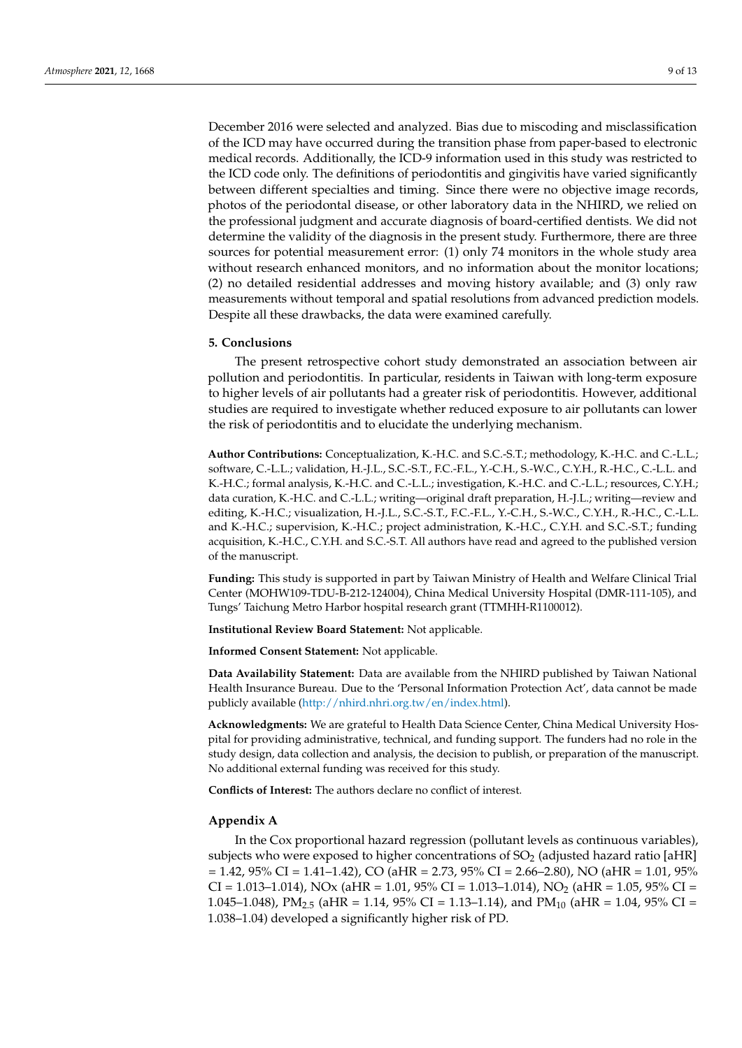December 2016 were selected and analyzed. Bias due to miscoding and misclassification of the ICD may have occurred during the transition phase from paper-based to electronic medical records. Additionally, the ICD-9 information used in this study was restricted to the ICD code only. The definitions of periodontitis and gingivitis have varied significantly between different specialties and timing. Since there were no objective image records, photos of the periodontal disease, or other laboratory data in the NHIRD, we relied on the professional judgment and accurate diagnosis of board-certified dentists. We did not determine the validity of the diagnosis in the present study. Furthermore, there are three sources for potential measurement error: (1) only 74 monitors in the whole study area without research enhanced monitors, and no information about the monitor locations; (2) no detailed residential addresses and moving history available; and (3) only raw measurements without temporal and spatial resolutions from advanced prediction models. Despite all these drawbacks, the data were examined carefully.

# **5. Conclusions**

The present retrospective cohort study demonstrated an association between air pollution and periodontitis. In particular, residents in Taiwan with long-term exposure to higher levels of air pollutants had a greater risk of periodontitis. However, additional studies are required to investigate whether reduced exposure to air pollutants can lower the risk of periodontitis and to elucidate the underlying mechanism.

**Author Contributions:** Conceptualization, K.-H.C. and S.C.-S.T.; methodology, K.-H.C. and C.-L.L.; software, C.-L.L.; validation, H.-J.L., S.C.-S.T., F.C.-F.L., Y.-C.H., S.-W.C., C.Y.H., R.-H.C., C.-L.L. and K.-H.C.; formal analysis, K.-H.C. and C.-L.L.; investigation, K.-H.C. and C.-L.L.; resources, C.Y.H.; data curation, K.-H.C. and C.-L.L.; writing—original draft preparation, H.-J.L.; writing—review and editing, K.-H.C.; visualization, H.-J.L., S.C.-S.T., F.C.-F.L., Y.-C.H., S.-W.C., C.Y.H., R.-H.C., C.-L.L. and K.-H.C.; supervision, K.-H.C.; project administration, K.-H.C., C.Y.H. and S.C.-S.T.; funding acquisition, K.-H.C., C.Y.H. and S.C.-S.T. All authors have read and agreed to the published version of the manuscript.

**Funding:** This study is supported in part by Taiwan Ministry of Health and Welfare Clinical Trial Center (MOHW109-TDU-B-212-124004), China Medical University Hospital (DMR-111-105), and Tungs' Taichung Metro Harbor hospital research grant (TTMHH-R1100012).

**Institutional Review Board Statement:** Not applicable.

**Informed Consent Statement:** Not applicable.

**Data Availability Statement:** Data are available from the NHIRD published by Taiwan National Health Insurance Bureau. Due to the 'Personal Information Protection Act', data cannot be made publicly available [\(http://nhird.nhri.org.tw/en/index.html\)](http://nhird.nhri.org.tw/en/index.html).

**Acknowledgments:** We are grateful to Health Data Science Center, China Medical University Hospital for providing administrative, technical, and funding support. The funders had no role in the study design, data collection and analysis, the decision to publish, or preparation of the manuscript. No additional external funding was received for this study.

**Conflicts of Interest:** The authors declare no conflict of interest.

#### <span id="page-8-0"></span>**Appendix A**

In the Cox proportional hazard regression (pollutant levels as continuous variables), subjects who were exposed to higher concentrations of  $SO<sub>2</sub>$  (adjusted hazard ratio [aHR]  $= 1.42$ ,  $95\%$  CI = 1.41-1.42), CO (aHR = 2.73,  $95\%$  CI = 2.66-2.80), NO (aHR = 1.01,  $95\%$ CI = 1.013-1.014), NOx (aHR = 1.01, 95% CI = 1.013-1.014), NO<sub>2</sub> (aHR = 1.05, 95% CI = 1.045–1.048), PM<sub>2.5</sub> (aHR = 1.14, 95% CI = 1.13–1.14), and PM<sub>10</sub> (aHR = 1.04, 95% CI = 1.038–1.04) developed a significantly higher risk of PD.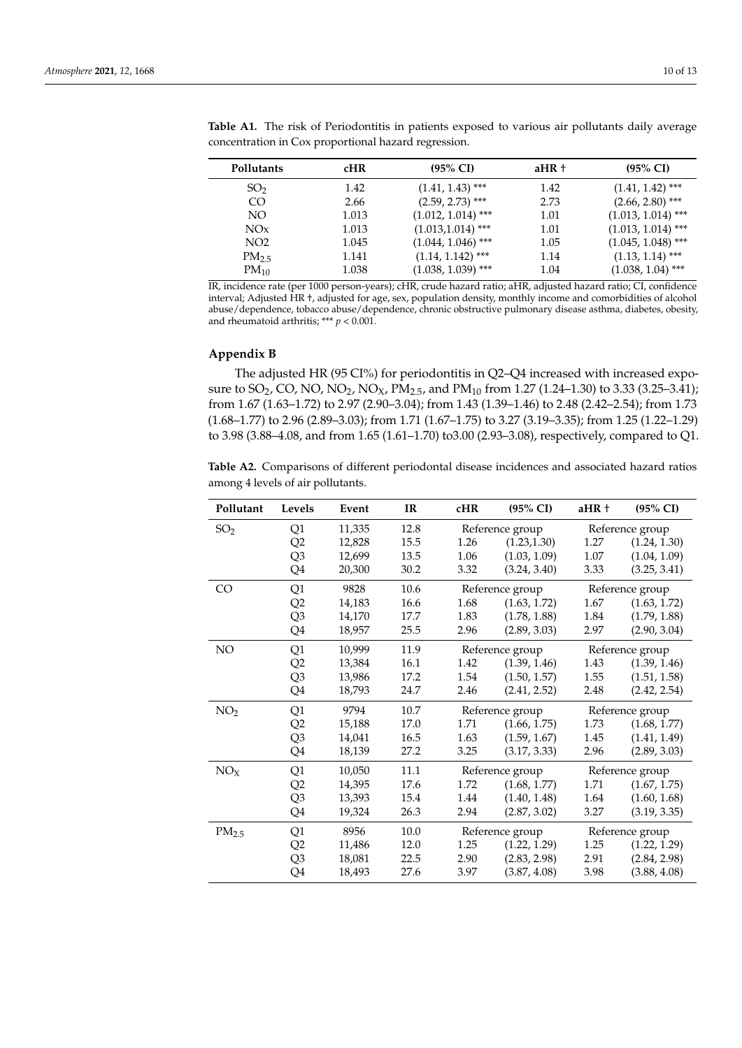| Pollutants       | <b>cHR</b> | $(95\% \text{ CI})$  | $aHR+$ | $(95\% \text{ CI})$  |
|------------------|------------|----------------------|--------|----------------------|
| SO <sub>2</sub>  | 1.42       | $(1.41, 1.43)$ ***   | 1.42   | $(1.41, 1.42)$ ***   |
| CO               | 2.66       | $(2.59, 2.73)$ ***   | 2.73   | $(2.66, 2.80)$ ***   |
| NO.              | 1.013      | $(1.012, 1.014)$ *** | 1.01   | $(1.013, 1.014)$ *** |
| NOx              | 1.013      | $(1.013, 1.014)$ *** | 1.01   | $(1.013, 1.014)$ *** |
| NO <sub>2</sub>  | 1.045      | $(1.044, 1.046)$ *** | 1.05   | $(1.045, 1.048)$ *** |
| PM <sub>25</sub> | 1.141      | $(1.14, 1.142)$ ***  | 1.14   | $(1.13, 1.14)$ ***   |
| $PM_{10}$        | 1.038      | $(1.038, 1.039)$ *** | 1.04   | $(1.038, 1.04)$ ***  |

Table A1. The risk of Periodontitis in patients exposed to various air pollutants daily average concentration in Cox proportional hazard regression.

IR, incidence rate (per 1000 person-years); cHR, crude hazard ratio; aHR, adjusted hazard ratio; CI, confidence interval; Adjusted HR †, adjusted for age, sex, population density, monthly income and comorbidities of alcohol abuse/dependence, tobacco abuse/dependence, chronic obstructive pulmonary disease asthma, diabetes, obesity, and rheumatoid arthritis; \*\*\* *p* < 0.001.

# <span id="page-9-0"></span>**Appendix B**

The adjusted HR (95 CI%) for periodontitis in Q2–Q4 increased with increased exposure to  $SO_2$ , CO, NO, NO<sub>2</sub>, NO<sub>X</sub>, PM<sub>2.5</sub>, and PM<sub>10</sub> from 1.27 (1.24–1.30) to 3.33 (3.25–3.41); from 1.67 (1.63–1.72) to 2.97 (2.90–3.04); from 1.43 (1.39–1.46) to 2.48 (2.42–2.54); from 1.73 (1.68–1.77) to 2.96 (2.89–3.03); from 1.71 (1.67–1.75) to 3.27 (3.19–3.35); from 1.25 (1.22–1.29) to 3.98 (3.88–4.08, and from 1.65 (1.61–1.70) to3.00 (2.93–3.08), respectively, compared to Q1.

**Table A2.** Comparisons of different periodontal disease incidences and associated hazard ratios among 4 levels of air pollutants.

| Pollutant         | Levels | Event  | IR   | cHR  | $(95\% \text{ CI})$ | aHR + | $(95\% \text{ CI})$ |
|-------------------|--------|--------|------|------|---------------------|-------|---------------------|
| SO <sub>2</sub>   | Q1     | 11,335 | 12.8 |      | Reference group     |       | Reference group     |
|                   | Q2     | 12,828 | 15.5 | 1.26 | (1.23, 1.30)        | 1.27  | (1.24, 1.30)        |
|                   | Q3     | 12,699 | 13.5 | 1.06 | (1.03, 1.09)        | 1.07  | (1.04, 1.09)        |
|                   | Q4     | 20,300 | 30.2 | 3.32 | (3.24, 3.40)        | 3.33  | (3.25, 3.41)        |
| C <sub>O</sub>    | Q1     | 9828   | 10.6 |      | Reference group     |       | Reference group     |
|                   | Q2     | 14,183 | 16.6 | 1.68 | (1.63, 1.72)        | 1.67  | (1.63, 1.72)        |
|                   | Q3     | 14,170 | 17.7 | 1.83 | (1.78, 1.88)        | 1.84  | (1.79, 1.88)        |
|                   | Q4     | 18,957 | 25.5 | 2.96 | (2.89, 3.03)        | 2.97  | (2.90, 3.04)        |
| NO                | Q1     | 10,999 | 11.9 |      | Reference group     |       | Reference group     |
|                   | Q2     | 13,384 | 16.1 | 1.42 | (1.39, 1.46)        | 1.43  | (1.39, 1.46)        |
|                   | Q3     | 13,986 | 17.2 | 1.54 | (1.50, 1.57)        | 1.55  | (1.51, 1.58)        |
|                   | Q4     | 18,793 | 24.7 | 2.46 | (2.41, 2.52)        | 2.48  | (2.42, 2.54)        |
| NO <sub>2</sub>   | Q1     | 9794   | 10.7 |      | Reference group     |       | Reference group     |
|                   | Q2     | 15,188 | 17.0 | 1.71 | (1.66, 1.75)        | 1.73  | (1.68, 1.77)        |
|                   | Q3     | 14,041 | 16.5 | 1.63 | (1.59, 1.67)        | 1.45  | (1.41, 1.49)        |
|                   | Q4     | 18,139 | 27.2 | 3.25 | (3.17, 3.33)        | 2.96  | (2.89, 3.03)        |
| NO <sub>X</sub>   | Q1     | 10,050 | 11.1 |      | Reference group     |       | Reference group     |
|                   | Q2     | 14,395 | 17.6 | 1.72 | (1.68, 1.77)        | 1.71  | (1.67, 1.75)        |
|                   | Q3     | 13,393 | 15.4 | 1.44 | (1.40, 1.48)        | 1.64  | (1.60, 1.68)        |
|                   | Q4     | 19,324 | 26.3 | 2.94 | (2.87, 3.02)        | 3.27  | (3.19, 3.35)        |
| PM <sub>2.5</sub> | Q1     | 8956   | 10.0 |      | Reference group     |       | Reference group     |
|                   | Q2     | 11,486 | 12.0 | 1.25 | (1.22, 1.29)        | 1.25  | (1.22, 1.29)        |
|                   | Q3     | 18,081 | 22.5 | 2.90 | (2.83, 2.98)        | 2.91  | (2.84, 2.98)        |
|                   | Q4     | 18,493 | 27.6 | 3.97 | (3.87, 4.08)        | 3.98  | (3.88, 4.08)        |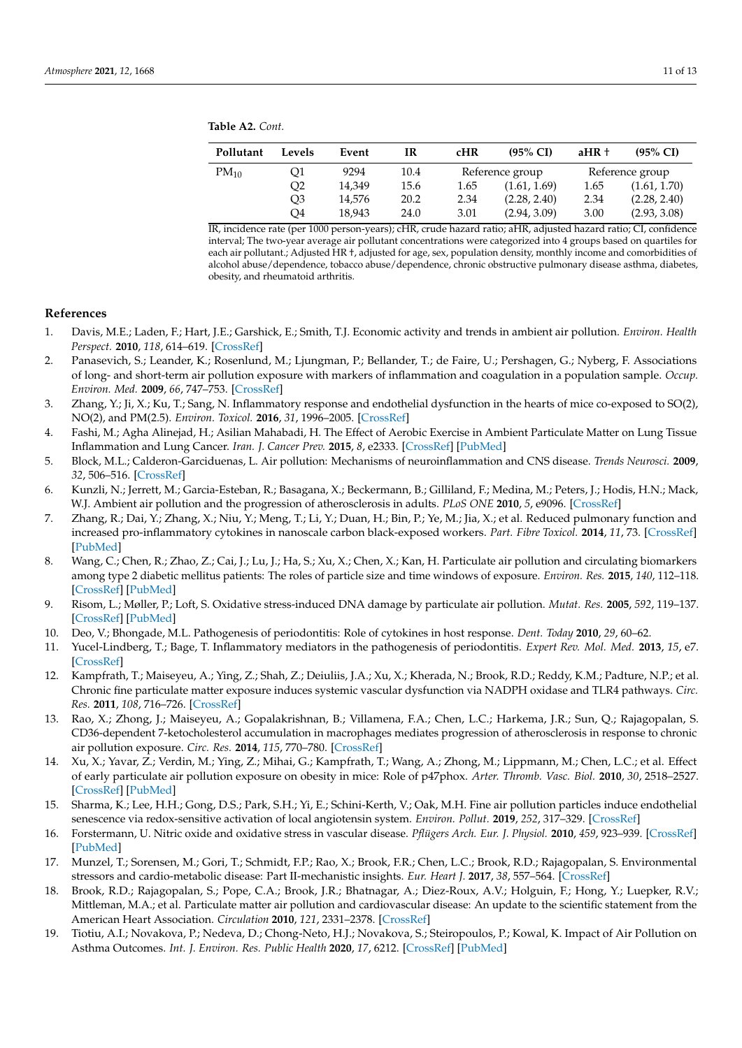**Table A2.** *Cont.*

| Pollutant | Levels         | Event  | IR   | cHR  | $(95\% \text{ CI})$ | $aHR+$ | $(95\% \text{ CI})$ |
|-----------|----------------|--------|------|------|---------------------|--------|---------------------|
| $PM_{10}$ | Ο1             | 9294   | 10.4 |      | Reference group     |        | Reference group     |
|           | O2             | 14.349 | 15.6 | 1.65 | (1.61, 1.69)        | 1.65   | (1.61, 1.70)        |
|           | O <sub>3</sub> | 14.576 | 20.2 | 2.34 | (2.28, 2.40)        | 2.34   | (2.28, 2.40)        |
|           | O4             | 18.943 | 24.0 | 3.01 | (2.94, 3.09)        | 3.00   | (2.93, 3.08)        |

IR, incidence rate (per 1000 person-years); cHR, crude hazard ratio; aHR, adjusted hazard ratio; CI, confidence interval; The two-year average air pollutant concentrations were categorized into 4 groups based on quartiles for each air pollutant.; Adjusted HR †, adjusted for age, sex, population density, monthly income and comorbidities of alcohol abuse/dependence, tobacco abuse/dependence, chronic obstructive pulmonary disease asthma, diabetes, obesity, and rheumatoid arthritis.

#### **References**

- <span id="page-10-0"></span>1. Davis, M.E.; Laden, F.; Hart, J.E.; Garshick, E.; Smith, T.J. Economic activity and trends in ambient air pollution. *Environ. Health Perspect.* **2010**, *118*, 614–619. [\[CrossRef\]](http://doi.org/10.1289/ehp.0901145)
- <span id="page-10-1"></span>2. Panasevich, S.; Leander, K.; Rosenlund, M.; Ljungman, P.; Bellander, T.; de Faire, U.; Pershagen, G.; Nyberg, F. Associations of long- and short-term air pollution exposure with markers of inflammation and coagulation in a population sample. *Occup. Environ. Med.* **2009**, *66*, 747–753. [\[CrossRef\]](http://doi.org/10.1136/oem.2008.043471)
- 3. Zhang, Y.; Ji, X.; Ku, T.; Sang, N. Inflammatory response and endothelial dysfunction in the hearts of mice co-exposed to SO(2), NO(2), and PM(2.5). *Environ. Toxicol.* **2016**, *31*, 1996–2005. [\[CrossRef\]](http://doi.org/10.1002/tox.22200)
- 4. Fashi, M.; Agha Alinejad, H.; Asilian Mahabadi, H. The Effect of Aerobic Exercise in Ambient Particulate Matter on Lung Tissue Inflammation and Lung Cancer. *Iran. J. Cancer Prev.* **2015**, *8*, e2333. [\[CrossRef\]](http://doi.org/10.17795/ijcp2333) [\[PubMed\]](http://www.ncbi.nlm.nih.gov/pubmed/26413253)
- 5. Block, M.L.; Calderon-Garciduenas, L. Air pollution: Mechanisms of neuroinflammation and CNS disease. *Trends Neurosci.* **2009**, *32*, 506–516. [\[CrossRef\]](http://doi.org/10.1016/j.tins.2009.05.009)
- 6. Kunzli, N.; Jerrett, M.; Garcia-Esteban, R.; Basagana, X.; Beckermann, B.; Gilliland, F.; Medina, M.; Peters, J.; Hodis, H.N.; Mack, W.J. Ambient air pollution and the progression of atherosclerosis in adults. *PLoS ONE* **2010**, *5*, e9096. [\[CrossRef\]](http://doi.org/10.1371/annotation/21f6b02b-e533-46ca-9356-86a0eef8434e)
- 7. Zhang, R.; Dai, Y.; Zhang, X.; Niu, Y.; Meng, T.; Li, Y.; Duan, H.; Bin, P.; Ye, M.; Jia, X.; et al. Reduced pulmonary function and increased pro-inflammatory cytokines in nanoscale carbon black-exposed workers. *Part. Fibre Toxicol.* **2014**, *11*, 73. [\[CrossRef\]](http://doi.org/10.1186/s12989-014-0073-1) [\[PubMed\]](http://www.ncbi.nlm.nih.gov/pubmed/25497989)
- 8. Wang, C.; Chen, R.; Zhao, Z.; Cai, J.; Lu, J.; Ha, S.; Xu, X.; Chen, X.; Kan, H. Particulate air pollution and circulating biomarkers among type 2 diabetic mellitus patients: The roles of particle size and time windows of exposure. *Environ. Res.* **2015**, *140*, 112–118. [\[CrossRef\]](http://doi.org/10.1016/j.envres.2015.03.026) [\[PubMed\]](http://www.ncbi.nlm.nih.gov/pubmed/25863184)
- <span id="page-10-2"></span>9. Risom, L.; Møller, P.; Loft, S. Oxidative stress-induced DNA damage by particulate air pollution. *Mutat. Res.* **2005**, *592*, 119–137. [\[CrossRef\]](http://doi.org/10.1016/j.mrfmmm.2005.06.012) [\[PubMed\]](http://www.ncbi.nlm.nih.gov/pubmed/16085126)
- <span id="page-10-3"></span>10. Deo, V.; Bhongade, M.L. Pathogenesis of periodontitis: Role of cytokines in host response. *Dent. Today* **2010**, *29*, 60–62.
- <span id="page-10-4"></span>11. Yucel-Lindberg, T.; Bage, T. Inflammatory mediators in the pathogenesis of periodontitis. *Expert Rev. Mol. Med.* **2013**, *15*, e7. [\[CrossRef\]](http://doi.org/10.1017/erm.2013.8)
- <span id="page-10-5"></span>12. Kampfrath, T.; Maiseyeu, A.; Ying, Z.; Shah, Z.; Deiuliis, J.A.; Xu, X.; Kherada, N.; Brook, R.D.; Reddy, K.M.; Padture, N.P.; et al. Chronic fine particulate matter exposure induces systemic vascular dysfunction via NADPH oxidase and TLR4 pathways. *Circ. Res.* **2011**, *108*, 716–726. [\[CrossRef\]](http://doi.org/10.1161/CIRCRESAHA.110.237560)
- 13. Rao, X.; Zhong, J.; Maiseyeu, A.; Gopalakrishnan, B.; Villamena, F.A.; Chen, L.C.; Harkema, J.R.; Sun, Q.; Rajagopalan, S. CD36-dependent 7-ketocholesterol accumulation in macrophages mediates progression of atherosclerosis in response to chronic air pollution exposure. *Circ. Res.* **2014**, *115*, 770–780. [\[CrossRef\]](http://doi.org/10.1161/CIRCRESAHA.115.304666)
- <span id="page-10-6"></span>14. Xu, X.; Yavar, Z.; Verdin, M.; Ying, Z.; Mihai, G.; Kampfrath, T.; Wang, A.; Zhong, M.; Lippmann, M.; Chen, L.C.; et al. Effect of early particulate air pollution exposure on obesity in mice: Role of p47phox. *Arter. Thromb. Vasc. Biol.* **2010**, *30*, 2518–2527. [\[CrossRef\]](http://doi.org/10.1161/ATVBAHA.110.215350) [\[PubMed\]](http://www.ncbi.nlm.nih.gov/pubmed/20864666)
- <span id="page-10-7"></span>15. Sharma, K.; Lee, H.H.; Gong, D.S.; Park, S.H.; Yi, E.; Schini-Kerth, V.; Oak, M.H. Fine air pollution particles induce endothelial senescence via redox-sensitive activation of local angiotensin system. *Environ. Pollut.* **2019**, *252*, 317–329. [\[CrossRef\]](http://doi.org/10.1016/j.envpol.2019.05.066)
- 16. Forstermann, U. Nitric oxide and oxidative stress in vascular disease. *Pflügers Arch. Eur. J. Physiol.* **2010**, *459*, 923–939. [\[CrossRef\]](http://doi.org/10.1007/s00424-010-0808-2) [\[PubMed\]](http://www.ncbi.nlm.nih.gov/pubmed/20306272)
- <span id="page-10-10"></span>17. Munzel, T.; Sorensen, M.; Gori, T.; Schmidt, F.P.; Rao, X.; Brook, F.R.; Chen, L.C.; Brook, R.D.; Rajagopalan, S. Environmental stressors and cardio-metabolic disease: Part II-mechanistic insights. *Eur. Heart J.* **2017**, *38*, 557–564. [\[CrossRef\]](http://doi.org/10.1093/eurheartj/ehw294)
- <span id="page-10-8"></span>18. Brook, R.D.; Rajagopalan, S.; Pope, C.A.; Brook, J.R.; Bhatnagar, A.; Diez-Roux, A.V.; Holguin, F.; Hong, Y.; Luepker, R.V.; Mittleman, M.A.; et al. Particulate matter air pollution and cardiovascular disease: An update to the scientific statement from the American Heart Association. *Circulation* **2010**, *121*, 2331–2378. [\[CrossRef\]](http://doi.org/10.1161/CIR.0b013e3181dbece1)
- <span id="page-10-9"></span>19. Tiotiu, A.I.; Novakova, P.; Nedeva, D.; Chong-Neto, H.J.; Novakova, S.; Steiropoulos, P.; Kowal, K. Impact of Air Pollution on Asthma Outcomes. *Int. J. Environ. Res. Public Health* **2020**, *17*, 6212. [\[CrossRef\]](http://doi.org/10.3390/ijerph17176212) [\[PubMed\]](http://www.ncbi.nlm.nih.gov/pubmed/32867076)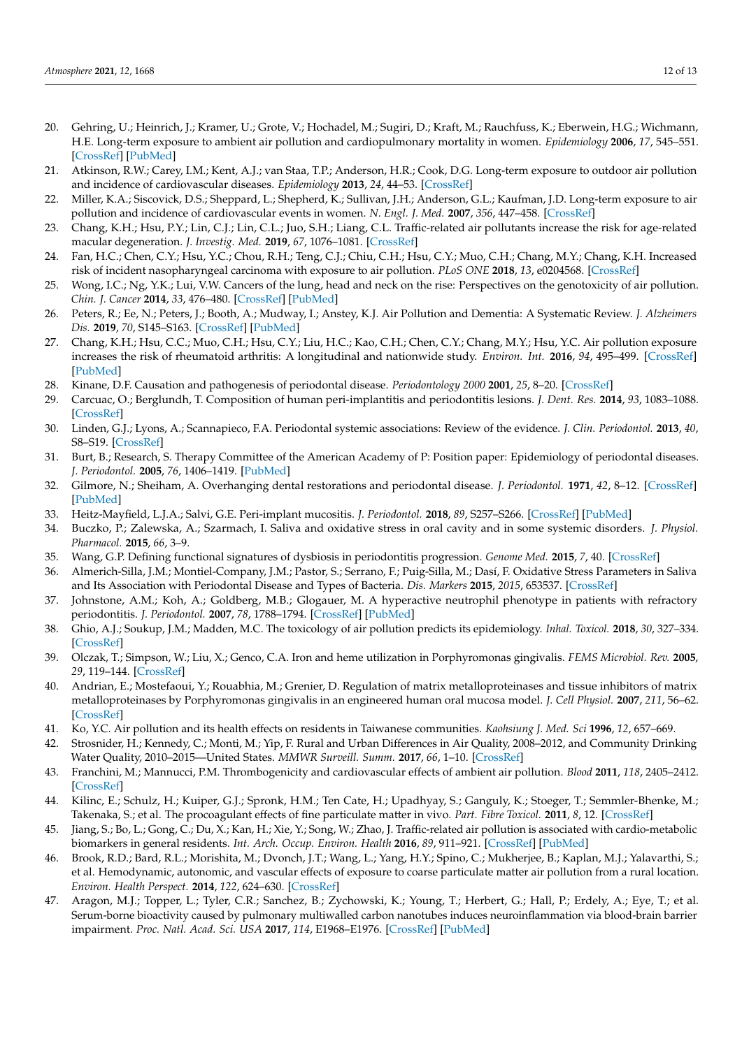- 20. Gehring, U.; Heinrich, J.; Kramer, U.; Grote, V.; Hochadel, M.; Sugiri, D.; Kraft, M.; Rauchfuss, K.; Eberwein, H.G.; Wichmann, H.E. Long-term exposure to ambient air pollution and cardiopulmonary mortality in women. *Epidemiology* **2006**, *17*, 545–551. [\[CrossRef\]](http://doi.org/10.1097/01.ede.0000224541.38258.87) [\[PubMed\]](http://www.ncbi.nlm.nih.gov/pubmed/16755270)
- 21. Atkinson, R.W.; Carey, I.M.; Kent, A.J.; van Staa, T.P.; Anderson, H.R.; Cook, D.G. Long-term exposure to outdoor air pollution and incidence of cardiovascular diseases. *Epidemiology* **2013**, *24*, 44–53. [\[CrossRef\]](http://doi.org/10.1097/EDE.0b013e318276ccb8)
- 22. Miller, K.A.; Siscovick, D.S.; Sheppard, L.; Shepherd, K.; Sullivan, J.H.; Anderson, G.L.; Kaufman, J.D. Long-term exposure to air pollution and incidence of cardiovascular events in women. *N. Engl. J. Med.* **2007**, *356*, 447–458. [\[CrossRef\]](http://doi.org/10.1056/NEJMoa054409)
- 23. Chang, K.H.; Hsu, P.Y.; Lin, C.J.; Lin, C.L.; Juo, S.H.; Liang, C.L. Traffic-related air pollutants increase the risk for age-related macular degeneration. *J. Investig. Med.* **2019**, *67*, 1076–1081. [\[CrossRef\]](http://doi.org/10.1136/jim-2019-001007)
- 24. Fan, H.C.; Chen, C.Y.; Hsu, Y.C.; Chou, R.H.; Teng, C.J.; Chiu, C.H.; Hsu, C.Y.; Muo, C.H.; Chang, M.Y.; Chang, K.H. Increased risk of incident nasopharyngeal carcinoma with exposure to air pollution. *PLoS ONE* **2018**, *13*, e0204568. [\[CrossRef\]](http://doi.org/10.1371/journal.pone.0204568)
- 25. Wong, I.C.; Ng, Y.K.; Lui, V.W. Cancers of the lung, head and neck on the rise: Perspectives on the genotoxicity of air pollution. *Chin. J. Cancer* **2014**, *33*, 476–480. [\[CrossRef\]](http://doi.org/10.5732/cjc.014.10093) [\[PubMed\]](http://www.ncbi.nlm.nih.gov/pubmed/25011457)
- 26. Peters, R.; Ee, N.; Peters, J.; Booth, A.; Mudway, I.; Anstey, K.J. Air Pollution and Dementia: A Systematic Review. *J. Alzheimers Dis.* **2019**, *70*, S145–S163. [\[CrossRef\]](http://doi.org/10.3233/JAD-180631) [\[PubMed\]](http://www.ncbi.nlm.nih.gov/pubmed/30775976)
- <span id="page-11-0"></span>27. Chang, K.H.; Hsu, C.C.; Muo, C.H.; Hsu, C.Y.; Liu, H.C.; Kao, C.H.; Chen, C.Y.; Chang, M.Y.; Hsu, Y.C. Air pollution exposure increases the risk of rheumatoid arthritis: A longitudinal and nationwide study. *Environ. Int.* **2016**, *94*, 495–499. [\[CrossRef\]](http://doi.org/10.1016/j.envint.2016.06.008) [\[PubMed\]](http://www.ncbi.nlm.nih.gov/pubmed/27302847)
- <span id="page-11-1"></span>28. Kinane, D.F. Causation and pathogenesis of periodontal disease. *Periodontology 2000* **2001**, *25*, 8–20. [\[CrossRef\]](http://doi.org/10.1034/j.1600-0757.2001.22250102.x)
- 29. Carcuac, O.; Berglundh, T. Composition of human peri-implantitis and periodontitis lesions. *J. Dent. Res.* **2014**, *93*, 1083–1088. [\[CrossRef\]](http://doi.org/10.1177/0022034514551754)
- <span id="page-11-2"></span>30. Linden, G.J.; Lyons, A.; Scannapieco, F.A. Periodontal systemic associations: Review of the evidence. *J. Clin. Periodontol.* **2013**, *40*, S8–S19. [\[CrossRef\]](http://doi.org/10.1111/jcpe.12064)
- <span id="page-11-3"></span>31. Burt, B.; Research, S. Therapy Committee of the American Academy of P: Position paper: Epidemiology of periodontal diseases. *J. Periodontol.* **2005**, *76*, 1406–1419. [\[PubMed\]](http://www.ncbi.nlm.nih.gov/pubmed/16101377)
- 32. Gilmore, N.; Sheiham, A. Overhanging dental restorations and periodontal disease. *J. Periodontol.* **1971**, *42*, 8–12. [\[CrossRef\]](http://doi.org/10.1902/jop.1971.42.1.8) [\[PubMed\]](http://www.ncbi.nlm.nih.gov/pubmed/5276433)
- <span id="page-11-4"></span>33. Heitz-Mayfield, L.J.A.; Salvi, G.E. Peri-implant mucositis. *J. Periodontol.* **2018**, *89*, S257–S266. [\[CrossRef\]](http://doi.org/10.1002/JPER.16-0488) [\[PubMed\]](http://www.ncbi.nlm.nih.gov/pubmed/29926954)
- <span id="page-11-5"></span>34. Buczko, P.; Zalewska, A.; Szarmach, I. Saliva and oxidative stress in oral cavity and in some systemic disorders. *J. Physiol. Pharmacol.* **2015**, *66*, 3–9.
- 35. Wang, G.P. Defining functional signatures of dysbiosis in periodontitis progression. *Genome Med.* **2015**, *7*, 40. [\[CrossRef\]](http://doi.org/10.1186/s13073-015-0165-z)
- <span id="page-11-6"></span>36. Almerich-Silla, J.M.; Montiel-Company, J.M.; Pastor, S.; Serrano, F.; Puig-Silla, M.; Dasí, F. Oxidative Stress Parameters in Saliva and Its Association with Periodontal Disease and Types of Bacteria. *Dis. Markers* **2015**, *2015*, 653537. [\[CrossRef\]](http://doi.org/10.1155/2015/653537)
- <span id="page-11-7"></span>37. Johnstone, A.M.; Koh, A.; Goldberg, M.B.; Glogauer, M. A hyperactive neutrophil phenotype in patients with refractory periodontitis. *J. Periodontol.* **2007**, *78*, 1788–1794. [\[CrossRef\]](http://doi.org/10.1902/jop.2007.070107) [\[PubMed\]](http://www.ncbi.nlm.nih.gov/pubmed/17760550)
- <span id="page-11-8"></span>38. Ghio, A.J.; Soukup, J.M.; Madden, M.C. The toxicology of air pollution predicts its epidemiology. *Inhal. Toxicol.* **2018**, *30*, 327–334. [\[CrossRef\]](http://doi.org/10.1080/08958378.2018.1530316)
- <span id="page-11-9"></span>39. Olczak, T.; Simpson, W.; Liu, X.; Genco, C.A. Iron and heme utilization in Porphyromonas gingivalis. *FEMS Microbiol. Rev.* **2005**, *29*, 119–144. [\[CrossRef\]](http://doi.org/10.1016/j.femsre.2004.09.001)
- <span id="page-11-10"></span>40. Andrian, E.; Mostefaoui, Y.; Rouabhia, M.; Grenier, D. Regulation of matrix metalloproteinases and tissue inhibitors of matrix metalloproteinases by Porphyromonas gingivalis in an engineered human oral mucosa model. *J. Cell Physiol.* **2007**, *211*, 56–62. [\[CrossRef\]](http://doi.org/10.1002/jcp.20894)
- <span id="page-11-11"></span>41. Ko, Y.C. Air pollution and its health effects on residents in Taiwanese communities. *Kaohsiung J. Med. Sci* **1996**, *12*, 657–669.
- <span id="page-11-12"></span>42. Strosnider, H.; Kennedy, C.; Monti, M.; Yip, F. Rural and Urban Differences in Air Quality, 2008–2012, and Community Drinking Water Quality, 2010–2015—United States. *MMWR Surveill. Summ.* **2017**, *66*, 1–10. [\[CrossRef\]](http://doi.org/10.15585/mmwr.ss6613a1)
- <span id="page-11-13"></span>43. Franchini, M.; Mannucci, P.M. Thrombogenicity and cardiovascular effects of ambient air pollution. *Blood* **2011**, *118*, 2405–2412. [\[CrossRef\]](http://doi.org/10.1182/blood-2011-04-343111)
- 44. Kilinc, E.; Schulz, H.; Kuiper, G.J.; Spronk, H.M.; Ten Cate, H.; Upadhyay, S.; Ganguly, K.; Stoeger, T.; Semmler-Bhenke, M.; Takenaka, S.; et al. The procoagulant effects of fine particulate matter in vivo. *Part. Fibre Toxicol.* **2011**, *8*, 12. [\[CrossRef\]](http://doi.org/10.1186/1743-8977-8-12)
- 45. Jiang, S.; Bo, L.; Gong, C.; Du, X.; Kan, H.; Xie, Y.; Song, W.; Zhao, J. Traffic-related air pollution is associated with cardio-metabolic biomarkers in general residents. *Int. Arch. Occup. Environ. Health* **2016**, *89*, 911–921. [\[CrossRef\]](http://doi.org/10.1007/s00420-016-1129-3) [\[PubMed\]](http://www.ncbi.nlm.nih.gov/pubmed/27084335)
- 46. Brook, R.D.; Bard, R.L.; Morishita, M.; Dvonch, J.T.; Wang, L.; Yang, H.Y.; Spino, C.; Mukherjee, B.; Kaplan, M.J.; Yalavarthi, S.; et al. Hemodynamic, autonomic, and vascular effects of exposure to coarse particulate matter air pollution from a rural location. *Environ. Health Perspect.* **2014**, *122*, 624–630. [\[CrossRef\]](http://doi.org/10.1289/ehp.1306595)
- 47. Aragon, M.J.; Topper, L.; Tyler, C.R.; Sanchez, B.; Zychowski, K.; Young, T.; Herbert, G.; Hall, P.; Erdely, A.; Eye, T.; et al. Serum-borne bioactivity caused by pulmonary multiwalled carbon nanotubes induces neuroinflammation via blood-brain barrier impairment. *Proc. Natl. Acad. Sci. USA* **2017**, *114*, E1968–E1976. [\[CrossRef\]](http://doi.org/10.1073/pnas.1616070114) [\[PubMed\]](http://www.ncbi.nlm.nih.gov/pubmed/28223486)